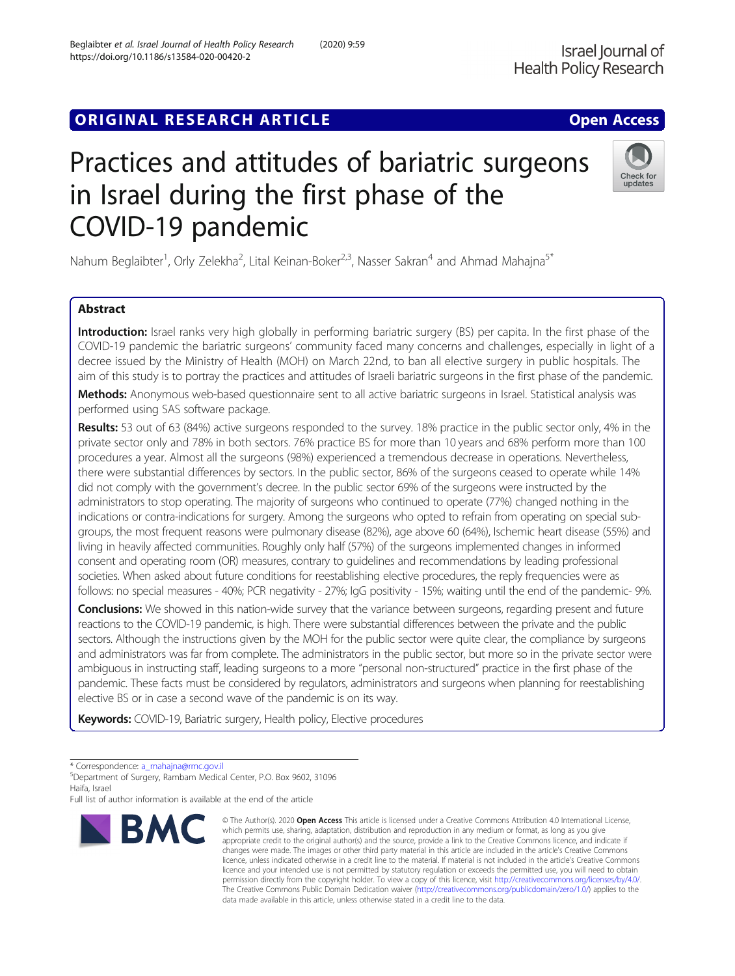# **ORIGINAL RESEARCH ARTICLE CONSUMING ACCESS**

Beglaibter et al. Israel Journal of Health Policy Research (2020) 9:59

# Practices and attitudes of bariatric surgeons in Israel during the first phase of the COVID-19 pandemic

Nahum Beglaibter<sup>1</sup>, Orly Zelekha<sup>2</sup>, Lital Keinan-Boker<sup>2,3</sup>, Nasser Sakran<sup>4</sup> and Ahmad Mahajna<sup>5\*</sup>

# Abstract

Introduction: Israel ranks very high globally in performing bariatric surgery (BS) per capita. In the first phase of the COVID-19 pandemic the bariatric surgeons' community faced many concerns and challenges, especially in light of a decree issued by the Ministry of Health (MOH) on March 22nd, to ban all elective surgery in public hospitals. The aim of this study is to portray the practices and attitudes of Israeli bariatric surgeons in the first phase of the pandemic.

Methods: Anonymous web-based questionnaire sent to all active bariatric surgeons in Israel. Statistical analysis was performed using SAS software package.

Results: 53 out of 63 (84%) active surgeons responded to the survey. 18% practice in the public sector only, 4% in the private sector only and 78% in both sectors. 76% practice BS for more than 10 years and 68% perform more than 100 procedures a year. Almost all the surgeons (98%) experienced a tremendous decrease in operations. Nevertheless, there were substantial differences by sectors. In the public sector, 86% of the surgeons ceased to operate while 14% did not comply with the government's decree. In the public sector 69% of the surgeons were instructed by the administrators to stop operating. The majority of surgeons who continued to operate (77%) changed nothing in the indications or contra-indications for surgery. Among the surgeons who opted to refrain from operating on special subgroups, the most frequent reasons were pulmonary disease (82%), age above 60 (64%), Ischemic heart disease (55%) and living in heavily affected communities. Roughly only half (57%) of the surgeons implemented changes in informed consent and operating room (OR) measures, contrary to guidelines and recommendations by leading professional societies. When asked about future conditions for reestablishing elective procedures, the reply frequencies were as follows: no special measures - 40%; PCR negativity - 27%; IgG positivity - 15%; waiting until the end of the pandemic- 9%.

Conclusions: We showed in this nation-wide survey that the variance between surgeons, regarding present and future reactions to the COVID-19 pandemic, is high. There were substantial differences between the private and the public sectors. Although the instructions given by the MOH for the public sector were quite clear, the compliance by surgeons and administrators was far from complete. The administrators in the public sector, but more so in the private sector were ambiguous in instructing staff, leading surgeons to a more "personal non-structured" practice in the first phase of the pandemic. These facts must be considered by regulators, administrators and surgeons when planning for reestablishing elective BS or in case a second wave of the pandemic is on its way.

Keywords: COVID-19, Bariatric surgery, Health policy, Elective procedures

\* Correspondence: [a\\_mahajna@rmc.gov.il](mailto:a_mahajna@rmc.gov.il) <sup>5</sup>

Department of Surgery, Rambam Medical Center, P.O. Box 9602, 31096 Haifa, Israel

Full list of author information is available at the end of the article



<sup>©</sup> The Author(s), 2020 **Open Access** This article is licensed under a Creative Commons Attribution 4.0 International License, which permits use, sharing, adaptation, distribution and reproduction in any medium or format, as long as you give appropriate credit to the original author(s) and the source, provide a link to the Creative Commons licence, and indicate if changes were made. The images or other third party material in this article are included in the article's Creative Commons licence, unless indicated otherwise in a credit line to the material. If material is not included in the article's Creative Commons licence and your intended use is not permitted by statutory regulation or exceeds the permitted use, you will need to obtain permission directly from the copyright holder. To view a copy of this licence, visit [http://creativecommons.org/licenses/by/4.0/.](http://creativecommons.org/licenses/by/4.0/) The Creative Commons Public Domain Dedication waiver [\(http://creativecommons.org/publicdomain/zero/1.0/](http://creativecommons.org/publicdomain/zero/1.0/)) applies to the data made available in this article, unless otherwise stated in a credit line to the data.

Israel Journal of **Health Policy Research** 

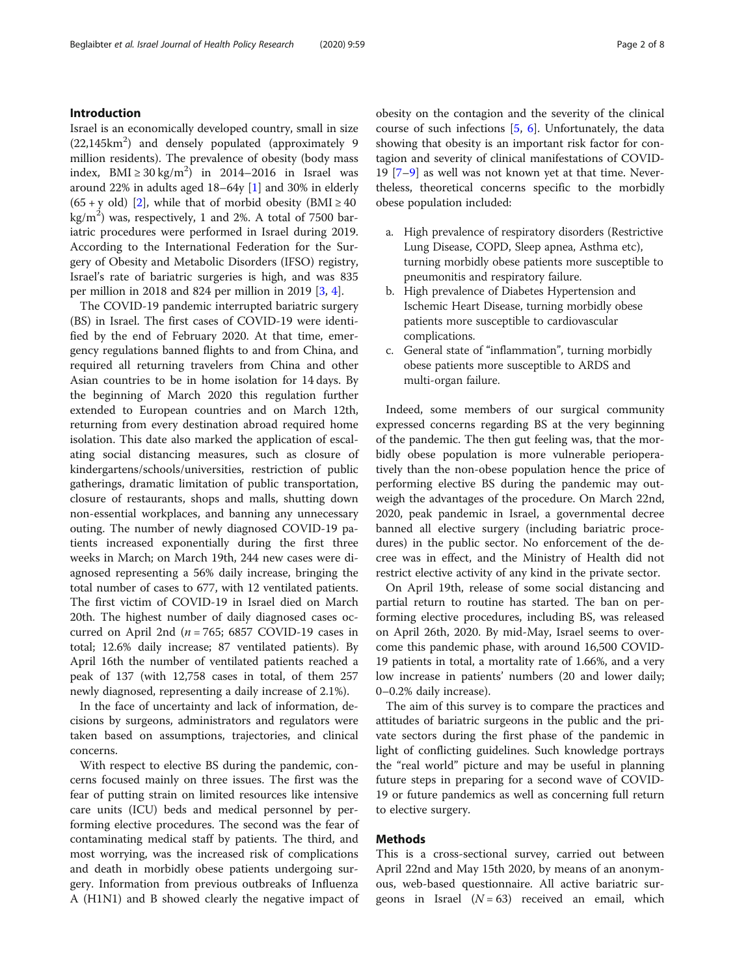# Introduction

Israel is an economically developed country, small in size (22,145km<sup>2</sup>) and densely populated (approximately 9 million residents). The prevalence of obesity (body mass index,  $BMI \geq 30 \text{ kg/m}^2$ ) in 2014–2016 in Israel was around 22% in adults aged 18–64y [\[1\]](#page-6-0) and 30% in elderly (65 + y old) [[2\]](#page-6-0), while that of morbid obesity (BMI  $\geq$  40  $\text{kg/m}^2)$  was, respectively, 1 and 2%. A total of 7500 bariatric procedures were performed in Israel during 2019. According to the International Federation for the Surgery of Obesity and Metabolic Disorders (IFSO) registry, Israel's rate of bariatric surgeries is high, and was 835 per million in 2018 and 824 per million in 2019 [[3,](#page-6-0) [4\]](#page-6-0).

The COVID-19 pandemic interrupted bariatric surgery (BS) in Israel. The first cases of COVID-19 were identified by the end of February 2020. At that time, emergency regulations banned flights to and from China, and required all returning travelers from China and other Asian countries to be in home isolation for 14 days. By the beginning of March 2020 this regulation further extended to European countries and on March 12th, returning from every destination abroad required home isolation. This date also marked the application of escalating social distancing measures, such as closure of kindergartens/schools/universities, restriction of public gatherings, dramatic limitation of public transportation, closure of restaurants, shops and malls, shutting down non-essential workplaces, and banning any unnecessary outing. The number of newly diagnosed COVID-19 patients increased exponentially during the first three weeks in March; on March 19th, 244 new cases were diagnosed representing a 56% daily increase, bringing the total number of cases to 677, with 12 ventilated patients. The first victim of COVID-19 in Israel died on March 20th. The highest number of daily diagnosed cases occurred on April 2nd ( $n = 765$ ; 6857 COVID-19 cases in total; 12.6% daily increase; 87 ventilated patients). By April 16th the number of ventilated patients reached a peak of 137 (with 12,758 cases in total, of them 257 newly diagnosed, representing a daily increase of 2.1%).

In the face of uncertainty and lack of information, decisions by surgeons, administrators and regulators were taken based on assumptions, trajectories, and clinical concerns.

With respect to elective BS during the pandemic, concerns focused mainly on three issues. The first was the fear of putting strain on limited resources like intensive care units (ICU) beds and medical personnel by performing elective procedures. The second was the fear of contaminating medical staff by patients. The third, and most worrying, was the increased risk of complications and death in morbidly obese patients undergoing surgery. Information from previous outbreaks of Influenza A (H1N1) and B showed clearly the negative impact of obesity on the contagion and the severity of the clinical course of such infections [[5](#page-6-0), [6](#page-6-0)]. Unfortunately, the data showing that obesity is an important risk factor for contagion and severity of clinical manifestations of COVID-19 [\[7](#page-6-0)–[9\]](#page-6-0) as well was not known yet at that time. Nevertheless, theoretical concerns specific to the morbidly obese population included:

- a. High prevalence of respiratory disorders (Restrictive Lung Disease, COPD, Sleep apnea, Asthma etc), turning morbidly obese patients more susceptible to pneumonitis and respiratory failure.
- b. High prevalence of Diabetes Hypertension and Ischemic Heart Disease, turning morbidly obese patients more susceptible to cardiovascular complications.
- c. General state of "inflammation", turning morbidly obese patients more susceptible to ARDS and multi-organ failure.

Indeed, some members of our surgical community expressed concerns regarding BS at the very beginning of the pandemic. The then gut feeling was, that the morbidly obese population is more vulnerable perioperatively than the non-obese population hence the price of performing elective BS during the pandemic may outweigh the advantages of the procedure. On March 22nd, 2020, peak pandemic in Israel, a governmental decree banned all elective surgery (including bariatric procedures) in the public sector. No enforcement of the decree was in effect, and the Ministry of Health did not restrict elective activity of any kind in the private sector.

On April 19th, release of some social distancing and partial return to routine has started. The ban on performing elective procedures, including BS, was released on April 26th, 2020. By mid-May, Israel seems to overcome this pandemic phase, with around 16,500 COVID-19 patients in total, a mortality rate of 1.66%, and a very low increase in patients' numbers (20 and lower daily; 0–0.2% daily increase).

The aim of this survey is to compare the practices and attitudes of bariatric surgeons in the public and the private sectors during the first phase of the pandemic in light of conflicting guidelines. Such knowledge portrays the "real world" picture and may be useful in planning future steps in preparing for a second wave of COVID-19 or future pandemics as well as concerning full return to elective surgery.

# Methods

This is a cross-sectional survey, carried out between April 22nd and May 15th 2020, by means of an anonymous, web-based questionnaire. All active bariatric surgeons in Israel  $(N = 63)$  received an email, which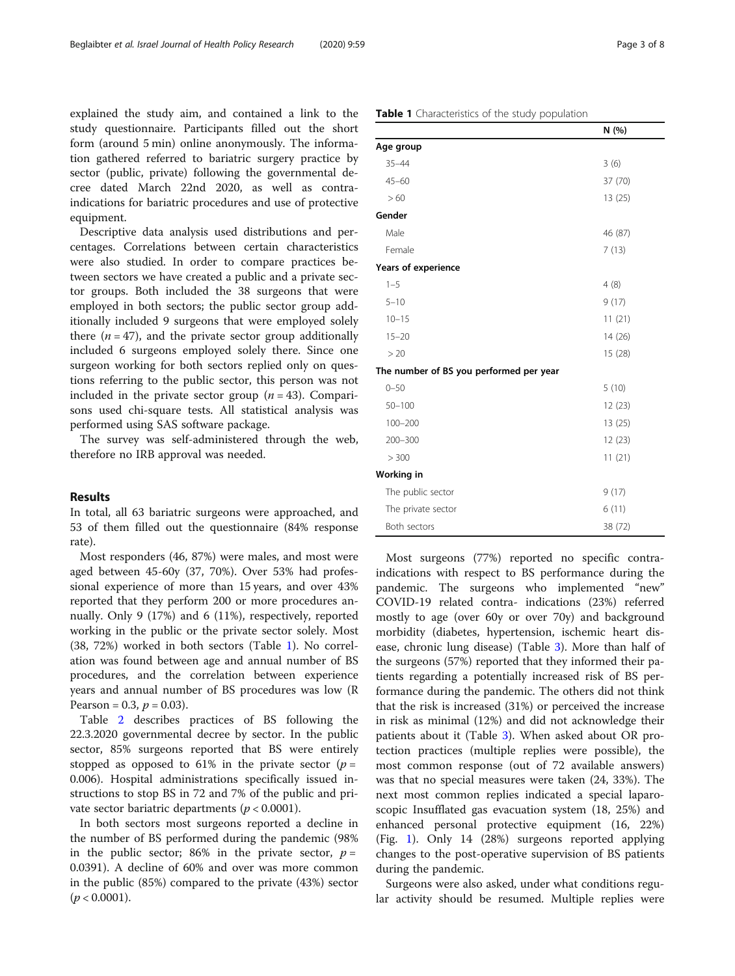explained the study aim, and contained a link to the study questionnaire. Participants filled out the short form (around 5 min) online anonymously. The information gathered referred to bariatric surgery practice by sector (public, private) following the governmental decree dated March 22nd 2020, as well as contraindications for bariatric procedures and use of protective equipment.

Descriptive data analysis used distributions and percentages. Correlations between certain characteristics were also studied. In order to compare practices between sectors we have created a public and a private sector groups. Both included the 38 surgeons that were employed in both sectors; the public sector group additionally included 9 surgeons that were employed solely there  $(n = 47)$ , and the private sector group additionally included 6 surgeons employed solely there. Since one surgeon working for both sectors replied only on questions referring to the public sector, this person was not included in the private sector group ( $n = 43$ ). Comparisons used chi-square tests. All statistical analysis was performed using SAS software package.

The survey was self-administered through the web, therefore no IRB approval was needed.

# Results

In total, all 63 bariatric surgeons were approached, and 53 of them filled out the questionnaire (84% response rate).

Most responders (46, 87%) were males, and most were aged between 45-60y (37, 70%). Over 53% had professional experience of more than 15 years, and over 43% reported that they perform 200 or more procedures annually. Only 9 (17%) and 6 (11%), respectively, reported working in the public or the private sector solely. Most (38, 72%) worked in both sectors (Table 1). No correlation was found between age and annual number of BS procedures, and the correlation between experience years and annual number of BS procedures was low (R Pearson = 0.3,  $p = 0.03$ ).

Table [2](#page-3-0) describes practices of BS following the 22.3.2020 governmental decree by sector. In the public sector, 85% surgeons reported that BS were entirely stopped as opposed to 61% in the private sector ( $p =$ 0.006). Hospital administrations specifically issued instructions to stop BS in 72 and 7% of the public and private sector bariatric departments ( $p < 0.0001$ ).

In both sectors most surgeons reported a decline in the number of BS performed during the pandemic (98% in the public sector; 86% in the private sector,  $p =$ 0.0391). A decline of 60% and over was more common in the public (85%) compared to the private (43%) sector  $(p < 0.0001)$ .

| Age group                               |         |
|-----------------------------------------|---------|
| $35 - 44$                               | 3(6)    |
| $45 - 60$                               | 37 (70) |
| >60                                     | 13(25)  |
| Gender                                  |         |
| Male                                    | 46 (87) |
| Female                                  | 7(13)   |
| Years of experience                     |         |
| $1 - 5$                                 | 4(8)    |
| $5 - 10$                                | 9(17)   |
| $10 - 15$                               | 11(21)  |
| $15 - 20$                               | 14 (26) |
| > 20                                    | 15 (28) |
| The number of BS you performed per year |         |
| $0 - 50$                                | 5(10)   |
| $50 - 100$                              | 12(23)  |
| $100 - 200$                             | 13(25)  |
| $200 - 300$                             | 12(23)  |
| > 300                                   | 11(21)  |
| Working in                              |         |
| The public sector                       | 9(17)   |
| The private sector                      | 6(11)   |
| Both sectors                            | 38 (72) |

Most surgeons (77%) reported no specific contraindications with respect to BS performance during the pandemic. The surgeons who implemented "new" COVID-19 related contra- indications (23%) referred mostly to age (over 60y or over 70y) and background morbidity (diabetes, hypertension, ischemic heart disease, chronic lung disease) (Table [3](#page-3-0)). More than half of the surgeons (57%) reported that they informed their patients regarding a potentially increased risk of BS performance during the pandemic. The others did not think that the risk is increased (31%) or perceived the increase in risk as minimal (12%) and did not acknowledge their patients about it (Table [3](#page-3-0)). When asked about OR protection practices (multiple replies were possible), the most common response (out of 72 available answers) was that no special measures were taken (24, 33%). The next most common replies indicated a special laparoscopic Insufflated gas evacuation system (18, 25%) and enhanced personal protective equipment (16, 22%) (Fig. [1](#page-4-0)). Only 14 (28%) surgeons reported applying changes to the post-operative supervision of BS patients during the pandemic.

Surgeons were also asked, under what conditions regular activity should be resumed. Multiple replies were

N (%)

#### Table 1 Characteristics of the study population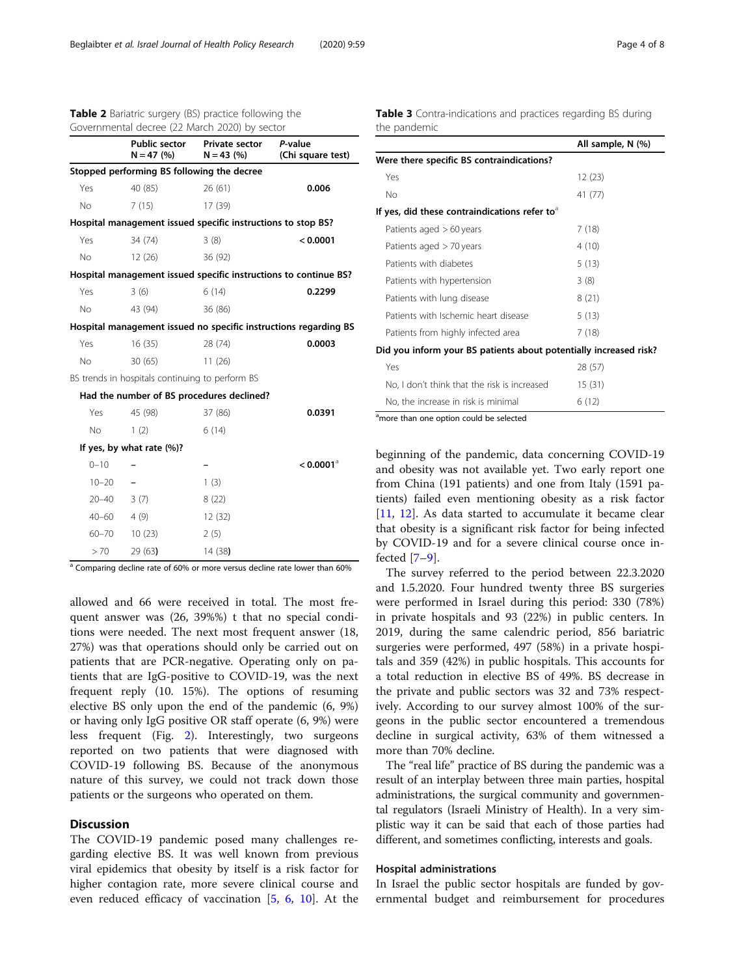|           | <b>Public sector</b><br>$N = 47(%)$             | Private sector<br>$N = 43$ (%)                               | P-value<br>(Chi square test)                                     |
|-----------|-------------------------------------------------|--------------------------------------------------------------|------------------------------------------------------------------|
|           | Stopped performing BS following the decree      |                                                              |                                                                  |
| Yes       | 40 (85)                                         | 26(61)                                                       | 0.006                                                            |
| <b>No</b> | 7(15)                                           | 17 (39)                                                      |                                                                  |
|           |                                                 | Hospital management issued specific instructions to stop BS? |                                                                  |
| Yes       | 34 (74)                                         | 3(8)                                                         | < 0.0001                                                         |
| <b>No</b> | 12 (26)                                         | 36 (92)                                                      |                                                                  |
|           |                                                 |                                                              | Hospital management issued specific instructions to continue BS? |
| Yes       | 3(6)                                            | 6(14)                                                        | 0.2299                                                           |
| No        | 43 (94)                                         | 36 (86)                                                      |                                                                  |
|           |                                                 |                                                              | Hospital management issued no specific instructions regarding BS |
| Yes       | 16(35)                                          | 28(74)                                                       | 0.0003                                                           |
| <b>No</b> | 30 (65)                                         | 11(26)                                                       |                                                                  |
|           | BS trends in hospitals continuing to perform BS |                                                              |                                                                  |
|           |                                                 | Had the number of BS procedures declined?                    |                                                                  |
| Yes       | 45 (98)                                         | 37 (86)                                                      | 0.0391                                                           |
| No.       | 1(2)                                            | 6(14)                                                        |                                                                  |
|           | If yes, by what rate $(\%)$ ?                   |                                                              |                                                                  |
| $0 - 10$  |                                                 |                                                              | $< 0.0001^{\circ}$                                               |
| $10 - 20$ |                                                 | 1(3)                                                         |                                                                  |
| 20-40     | 3(7)                                            | 8(22)                                                        |                                                                  |
| $40 - 60$ | 4(9)                                            | 12(32)                                                       |                                                                  |
| 60-70     | 10(23)                                          | 2(5)                                                         |                                                                  |
| > 70      | 29 (63)                                         | 14 (38)                                                      |                                                                  |

<span id="page-3-0"></span>Table 2 Bariatric surgery (BS) practice following the Governmental decree (22 March 2020) by sector

 $^{\text{a}}$  Comparing decline rate of 60% or more versus decline rate lower than 60%

allowed and 66 were received in total. The most frequent answer was (26, 39%%) t that no special conditions were needed. The next most frequent answer (18, 27%) was that operations should only be carried out on patients that are PCR-negative. Operating only on patients that are IgG-positive to COVID-19, was the next frequent reply (10. 15%). The options of resuming elective BS only upon the end of the pandemic (6, 9%) or having only IgG positive OR staff operate (6, 9%) were less frequent (Fig. [2\)](#page-4-0). Interestingly, two surgeons reported on two patients that were diagnosed with COVID-19 following BS. Because of the anonymous nature of this survey, we could not track down those patients or the surgeons who operated on them.

# **Discussion**

The COVID-19 pandemic posed many challenges regarding elective BS. It was well known from previous viral epidemics that obesity by itself is a risk factor for higher contagion rate, more severe clinical course and even reduced efficacy of vaccination [\[5](#page-6-0), [6](#page-6-0), [10\]](#page-6-0). At the

|                                                                   | All sample, N (%) |  |  |
|-------------------------------------------------------------------|-------------------|--|--|
| Were there specific BS contraindications?                         |                   |  |  |
| Yes                                                               | 12(23)            |  |  |
| No                                                                | 41 (77)           |  |  |
| If yes, did these contraindications refer to $\sigma$             |                   |  |  |
| Patients aged $>60$ years                                         | 7(18)             |  |  |
| Patients aged $>$ 70 years                                        | 4(10)             |  |  |
| Patients with diabetes                                            | 5(13)             |  |  |
| Patients with hypertension                                        | 3(8)              |  |  |
| Patients with lung disease                                        | 8(21)             |  |  |
| Patients with Ischemic heart disease                              | 5(13)             |  |  |
| Patients from highly infected area                                | 7(18)             |  |  |
| Did you inform your BS patients about potentially increased risk? |                   |  |  |
| Yes                                                               | 28 (57)           |  |  |
| No, I don't think that the risk is increased                      | 15(31)            |  |  |
| No, the increase in risk is minimal                               | 6(12)             |  |  |
| <sup>a</sup> more than one option could be selected               |                   |  |  |
|                                                                   |                   |  |  |

Table 3 Contra-indications and practices regarding BS during

the pandemic

beginning of the pandemic, data concerning COVID-19 and obesity was not available yet. Two early report one from China (191 patients) and one from Italy (1591 patients) failed even mentioning obesity as a risk factor [[11,](#page-6-0) [12\]](#page-6-0). As data started to accumulate it became clear that obesity is a significant risk factor for being infected by COVID-19 and for a severe clinical course once infected [\[7](#page-6-0)–[9](#page-6-0)].

The survey referred to the period between 22.3.2020 and 1.5.2020. Four hundred twenty three BS surgeries were performed in Israel during this period: 330 (78%) in private hospitals and 93 (22%) in public centers. In 2019, during the same calendric period, 856 bariatric surgeries were performed, 497 (58%) in a private hospitals and 359 (42%) in public hospitals. This accounts for a total reduction in elective BS of 49%. BS decrease in the private and public sectors was 32 and 73% respectively. According to our survey almost 100% of the surgeons in the public sector encountered a tremendous decline in surgical activity, 63% of them witnessed a more than 70% decline.

The "real life" practice of BS during the pandemic was a result of an interplay between three main parties, hospital administrations, the surgical community and governmental regulators (Israeli Ministry of Health). In a very simplistic way it can be said that each of those parties had different, and sometimes conflicting, interests and goals.

### Hospital administrations

In Israel the public sector hospitals are funded by governmental budget and reimbursement for procedures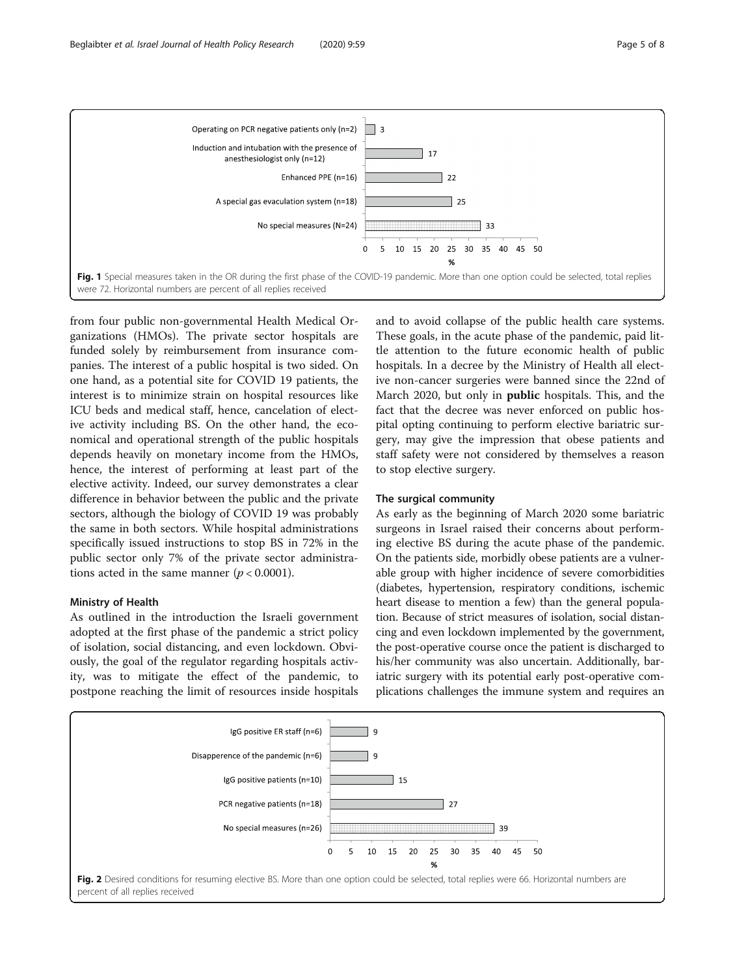<span id="page-4-0"></span>

from four public non-governmental Health Medical Organizations (HMOs). The private sector hospitals are funded solely by reimbursement from insurance companies. The interest of a public hospital is two sided. On one hand, as a potential site for COVID 19 patients, the interest is to minimize strain on hospital resources like ICU beds and medical staff, hence, cancelation of elective activity including BS. On the other hand, the economical and operational strength of the public hospitals depends heavily on monetary income from the HMOs, hence, the interest of performing at least part of the elective activity. Indeed, our survey demonstrates a clear difference in behavior between the public and the private sectors, although the biology of COVID 19 was probably the same in both sectors. While hospital administrations specifically issued instructions to stop BS in 72% in the public sector only 7% of the private sector administrations acted in the same manner ( $p < 0.0001$ ).

# Ministry of Health

As outlined in the introduction the Israeli government adopted at the first phase of the pandemic a strict policy of isolation, social distancing, and even lockdown. Obviously, the goal of the regulator regarding hospitals activity, was to mitigate the effect of the pandemic, to postpone reaching the limit of resources inside hospitals

and to avoid collapse of the public health care systems. These goals, in the acute phase of the pandemic, paid little attention to the future economic health of public hospitals. In a decree by the Ministry of Health all elective non-cancer surgeries were banned since the 22nd of March 2020, but only in public hospitals. This, and the fact that the decree was never enforced on public hospital opting continuing to perform elective bariatric surgery, may give the impression that obese patients and staff safety were not considered by themselves a reason to stop elective surgery.

# The surgical community

As early as the beginning of March 2020 some bariatric surgeons in Israel raised their concerns about performing elective BS during the acute phase of the pandemic. On the patients side, morbidly obese patients are a vulnerable group with higher incidence of severe comorbidities (diabetes, hypertension, respiratory conditions, ischemic heart disease to mention a few) than the general population. Because of strict measures of isolation, social distancing and even lockdown implemented by the government, the post-operative course once the patient is discharged to his/her community was also uncertain. Additionally, bariatric surgery with its potential early post-operative complications challenges the immune system and requires an

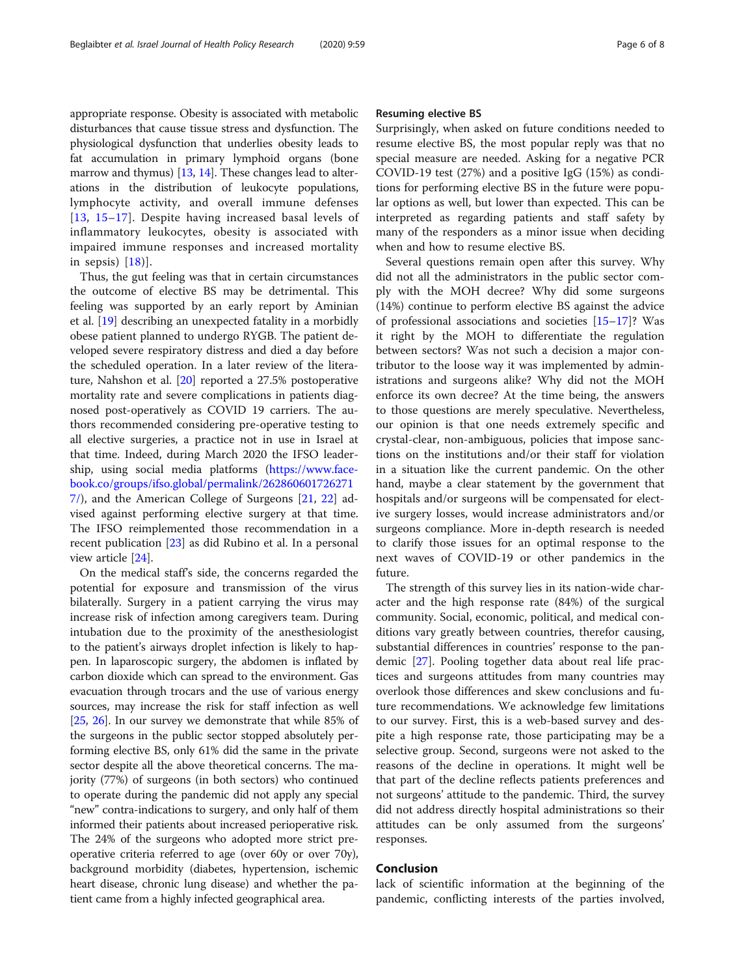appropriate response. Obesity is associated with metabolic disturbances that cause tissue stress and dysfunction. The physiological dysfunction that underlies obesity leads to fat accumulation in primary lymphoid organs (bone marrow and thymus) [[13](#page-6-0), [14\]](#page-6-0). These changes lead to alterations in the distribution of leukocyte populations, lymphocyte activity, and overall immune defenses [[13](#page-6-0), [15](#page-6-0)–[17\]](#page-6-0). Despite having increased basal levels of inflammatory leukocytes, obesity is associated with impaired immune responses and increased mortality in sepsis)  $[18]$  $[18]$ .

Thus, the gut feeling was that in certain circumstances the outcome of elective BS may be detrimental. This feeling was supported by an early report by Aminian et al. [\[19](#page-6-0)] describing an unexpected fatality in a morbidly obese patient planned to undergo RYGB. The patient developed severe respiratory distress and died a day before the scheduled operation. In a later review of the literature, Nahshon et al. [[20\]](#page-6-0) reported a 27.5% postoperative mortality rate and severe complications in patients diagnosed post-operatively as COVID 19 carriers. The authors recommended considering pre-operative testing to all elective surgeries, a practice not in use in Israel at that time. Indeed, during March 2020 the IFSO leadership, using social media platforms [\(https://www.face](https://www.facebook.co/groups/ifso.global/permalink/2628606017262717/)[book.co/groups/ifso.global/permalink/262860601726271](https://www.facebook.co/groups/ifso.global/permalink/2628606017262717/) [7/](https://www.facebook.co/groups/ifso.global/permalink/2628606017262717/)), and the American College of Surgeons [[21](#page-6-0), [22](#page-6-0)] advised against performing elective surgery at that time. The IFSO reimplemented those recommendation in a recent publication [\[23](#page-6-0)] as did Rubino et al. In a personal view article [\[24\]](#page-7-0).

On the medical staff's side, the concerns regarded the potential for exposure and transmission of the virus bilaterally. Surgery in a patient carrying the virus may increase risk of infection among caregivers team. During intubation due to the proximity of the anesthesiologist to the patient's airways droplet infection is likely to happen. In laparoscopic surgery, the abdomen is inflated by carbon dioxide which can spread to the environment. Gas evacuation through trocars and the use of various energy sources, may increase the risk for staff infection as well [[25](#page-7-0), [26\]](#page-7-0). In our survey we demonstrate that while 85% of the surgeons in the public sector stopped absolutely performing elective BS, only 61% did the same in the private sector despite all the above theoretical concerns. The majority (77%) of surgeons (in both sectors) who continued to operate during the pandemic did not apply any special "new" contra-indications to surgery, and only half of them informed their patients about increased perioperative risk. The 24% of the surgeons who adopted more strict preoperative criteria referred to age (over 60y or over 70y), background morbidity (diabetes, hypertension, ischemic heart disease, chronic lung disease) and whether the patient came from a highly infected geographical area.

#### Resuming elective BS

Surprisingly, when asked on future conditions needed to resume elective BS, the most popular reply was that no special measure are needed. Asking for a negative PCR COVID-19 test (27%) and a positive IgG (15%) as conditions for performing elective BS in the future were popular options as well, but lower than expected. This can be interpreted as regarding patients and staff safety by many of the responders as a minor issue when deciding when and how to resume elective BS.

Several questions remain open after this survey. Why did not all the administrators in the public sector comply with the MOH decree? Why did some surgeons (14%) continue to perform elective BS against the advice of professional associations and societies [[15](#page-6-0)–[17](#page-6-0)]? Was it right by the MOH to differentiate the regulation between sectors? Was not such a decision a major contributor to the loose way it was implemented by administrations and surgeons alike? Why did not the MOH enforce its own decree? At the time being, the answers to those questions are merely speculative. Nevertheless, our opinion is that one needs extremely specific and crystal-clear, non-ambiguous, policies that impose sanctions on the institutions and/or their staff for violation in a situation like the current pandemic. On the other hand, maybe a clear statement by the government that hospitals and/or surgeons will be compensated for elective surgery losses, would increase administrators and/or surgeons compliance. More in-depth research is needed to clarify those issues for an optimal response to the next waves of COVID-19 or other pandemics in the future.

The strength of this survey lies in its nation-wide character and the high response rate (84%) of the surgical community. Social, economic, political, and medical conditions vary greatly between countries, therefor causing, substantial differences in countries' response to the pandemic [\[27](#page-7-0)]. Pooling together data about real life practices and surgeons attitudes from many countries may overlook those differences and skew conclusions and future recommendations. We acknowledge few limitations to our survey. First, this is a web-based survey and despite a high response rate, those participating may be a selective group. Second, surgeons were not asked to the reasons of the decline in operations. It might well be that part of the decline reflects patients preferences and not surgeons' attitude to the pandemic. Third, the survey did not address directly hospital administrations so their attitudes can be only assumed from the surgeons' responses.

# Conclusion

lack of scientific information at the beginning of the pandemic, conflicting interests of the parties involved,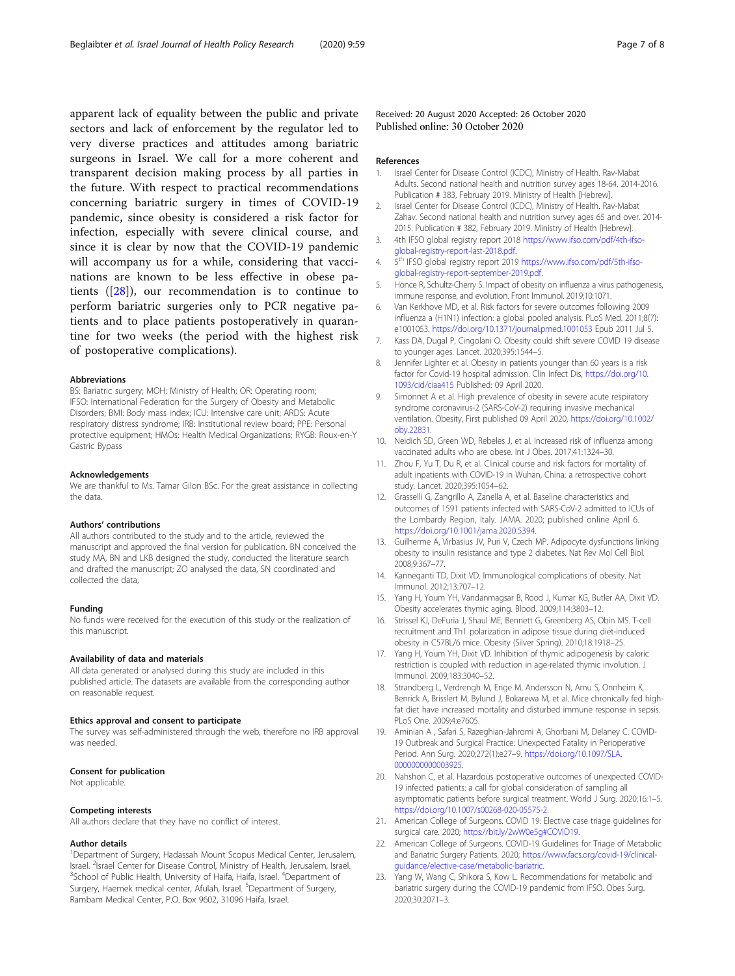<span id="page-6-0"></span>apparent lack of equality between the public and private sectors and lack of enforcement by the regulator led to very diverse practices and attitudes among bariatric surgeons in Israel. We call for a more coherent and transparent decision making process by all parties in the future. With respect to practical recommendations concerning bariatric surgery in times of COVID-19 pandemic, since obesity is considered a risk factor for infection, especially with severe clinical course, and since it is clear by now that the COVID-19 pandemic will accompany us for a while, considering that vaccinations are known to be less effective in obese patients ([[28\]](#page-7-0)), our recommendation is to continue to perform bariatric surgeries only to PCR negative patients and to place patients postoperatively in quarantine for two weeks (the period with the highest risk of postoperative complications).

#### Abbreviations

BS: Bariatric surgery; MOH: Ministry of Health; OR: Operating room; IFSO: International Federation for the Surgery of Obesity and Metabolic Disorders; BMI: Body mass index; ICU: Intensive care unit; ARDS: Acute respiratory distress syndrome; IRB: Institutional review board; PPE: Personal protective equipment; HMOs: Health Medical Organizations; RYGB: Roux-en-Y Gastric Bypass

#### Acknowledgements

We are thankful to Ms. Tamar Gilon BSc. For the great assistance in collecting the data.

#### Authors' contributions

All authors contributed to the study and to the article, reviewed the manuscript and approved the final version for publication. BN conceived the study MA, BN and LKB designed the study, conducted the literature search and drafted the manuscript; ZO analysed the data, SN coordinated and collected the data,

#### Funding

No funds were received for the execution of this study or the realization of this manuscript.

#### Availability of data and materials

All data generated or analysed during this study are included in this published article. The datasets are available from the corresponding author on reasonable request.

#### Ethics approval and consent to participate

The survey was self-administered through the web, therefore no IRB approval was needed.

#### Consent for publication

Not applicable.

#### Competing interests

All authors declare that they have no conflict of interest.

#### Author details

<sup>1</sup>Department of Surgery, Hadassah Mount Scopus Medical Center, Jerusalem, Israel. <sup>2</sup>Israel Center for Disease Control, Ministry of Health, Jerusalem, Israel.<br><sup>3</sup>School of Public Hoalth, University of Haifa, Haifa, Israel, <sup>4</sup>Department of School of Public Health, University of Haifa, Haifa, Israel. <sup>4</sup>Department of Surgery, Haemek medical center, Afulah, Israel. <sup>5</sup>Department of Surgery, Rambam Medical Center, P.O. Box 9602, 31096 Haifa, Israel.

Received: 20 August 2020 Accepted: 26 October 2020 Published online: 30 October 2020

#### References

- 1. Israel Center for Disease Control (ICDC), Ministry of Health. Rav-Mabat Adults. Second national health and nutrition survey ages 18-64. 2014-2016. Publication # 383, February 2019. Ministry of Health [Hebrew].
- 2. Israel Center for Disease Control (ICDC), Ministry of Health. Rav-Mabat Zahav. Second national health and nutrition survey ages 65 and over. 2014- 2015. Publication # 382, February 2019. Ministry of Health [Hebrew].
- 3. 4th IFSO global registry report 2018 [https://www.ifso.com/pdf/4th-ifso](https://www.ifso.com/pdf/4th-ifso-global-registry-report-last-2018.pdf)[global-registry-report-last-2018.pdf.](https://www.ifso.com/pdf/4th-ifso-global-registry-report-last-2018.pdf)
- 4. 5th IFSO global registry report 2019 [https://www.ifso.com/pdf/5th-ifso](https://www.ifso.com/pdf/5th-ifso-global-registry-report-september-2019.pdf)[global-registry-report-september-2019.pdf.](https://www.ifso.com/pdf/5th-ifso-global-registry-report-september-2019.pdf)
- 5. Honce R, Schultz-Cherry S. Impact of obesity on influenza a virus pathogenesis, immune response, and evolution. Front Immunol. 2019;10:1071.
- 6. Van Kerkhove MD, et al. Risk factors for severe outcomes following 2009 influenza a (H1N1) infection: a global pooled analysis. PLoS Med. 2011;8(7): e1001053. <https://doi.org/10.1371/journal.pmed.1001053> Epub 2011 Jul 5.
- 7. Kass DA, Dugal P, Cingolani O. Obesity could shift severe COVID 19 disease to younger ages. Lancet. 2020;395:1544–5.
- 8. Jennifer Lighter et al. Obesity in patients younger than 60 years is a risk factor for Covid-19 hospital admission. Clin Infect Dis, [https://doi.org/10.](https://doi.org/10.1093/cid/ciaa415) [1093/cid/ciaa415](https://doi.org/10.1093/cid/ciaa415) Published: 09 April 2020.
- 9. Simonnet A et al. High prevalence of obesity in severe acute respiratory syndrome coronavirus-2 (SARS-CoV-2) requiring invasive mechanical ventilation. Obesity, First published 09 April 2020, [https://doi.org/10.1002/](https://doi.org/10.1002/oby.22831) [oby.22831.](https://doi.org/10.1002/oby.22831)
- 10. Neidich SD, Green WD, Rebeles J, et al. Increased risk of influenza among vaccinated adults who are obese. Int J Obes. 2017;41:1324–30.
- 11. Zhou F, Yu T, Du R, et al. Clinical course and risk factors for mortality of adult inpatients with COVID-19 in Wuhan, China: a retrospective cohort study. Lancet. 2020;395:1054–62.
- 12. Grasselli G, Zangrillo A, Zanella A, et al. Baseline characteristics and outcomes of 1591 patients infected with SARS-CoV-2 admitted to ICUs of the Lombardy Region, Italy. JAMA. 2020; published online April 6. [https://doi.org/10.1001/jama.2020.5394.](https://doi.org/10.1001/jama.2020.5394)
- 13. Guilherme A, Virbasius JV, Puri V, Czech MP. Adipocyte dysfunctions linking obesity to insulin resistance and type 2 diabetes. Nat Rev Mol Cell Biol. 2008;9:367–77.
- 14. Kanneganti TD, Dixit VD. Immunological complications of obesity. Nat Immunol. 2012;13:707–12.
- 15. Yang H, Youm YH, Vandanmagsar B, Rood J, Kumar KG, Butler AA, Dixit VD. Obesity accelerates thymic aging. Blood. 2009;114:3803–12.
- 16. Strissel KJ, DeFuria J, Shaul ME, Bennett G, Greenberg AS, Obin MS. T-cell recruitment and Th1 polarization in adipose tissue during diet-induced obesity in C57BL/6 mice. Obesity (Silver Spring). 2010;18:1918–25.
- 17. Yang H, Youm YH, Dixit VD. Inhibition of thymic adipogenesis by caloric restriction is coupled with reduction in age-related thymic involution. J Immunol. 2009;183:3040–52.
- 18. Strandberg L, Verdrengh M, Enge M, Andersson N, Amu S, Onnheim K, Benrick A, Brisslert M, Bylund J, Bokarewa M, et al. Mice chronically fed highfat diet have increased mortality and disturbed immune response in sepsis. PLoS One. 2009;4:e7605.
- 19. Aminian A , Safari S, Razeghian-Jahromi A, Ghorbani M, Delaney C. COVID-19 Outbreak and Surgical Practice: Unexpected Fatality in Perioperative Period. Ann Surg. 2020;272(1):e27–9. [https://doi.org/10.1097/SLA.](https://doi.org/10.1097/SLA.0000000000003925) [0000000000003925](https://doi.org/10.1097/SLA.0000000000003925).
- 20. Nahshon C, et al. Hazardous postoperative outcomes of unexpected COVID-19 infected patients: a call for global consideration of sampling all asymptomatic patients before surgical treatment. World J Surg. 2020;16:1–5. [https://doi.org/10.1007/s00268-020-05575-2.](https://doi.org/10.1007/s00268-020-05575-2)
- 21. American College of Surgeons. COVID 19: Elective case triage guidelines for surgical care. 2020; [https://bit.ly/2wW0e5g#COVID19.](https://bit.ly/2wW0e5g#COVID19)
- 22. American College of Surgeons. COVID-19 Guidelines for Triage of Metabolic and Bariatric Surgery Patients. 2020; [https://www.facs.org/covid-19/clinical](https://www.facs.org/covid-19/clinical-guidance/elective-case/metabolic-bariatric)[guidance/elective-case/metabolic-bariatric](https://www.facs.org/covid-19/clinical-guidance/elective-case/metabolic-bariatric).
- 23. Yang W, Wang C, Shikora S, Kow L. Recommendations for metabolic and bariatric surgery during the COVID-19 pandemic from IFSO. Obes Surg. 2020;30:2071–3.